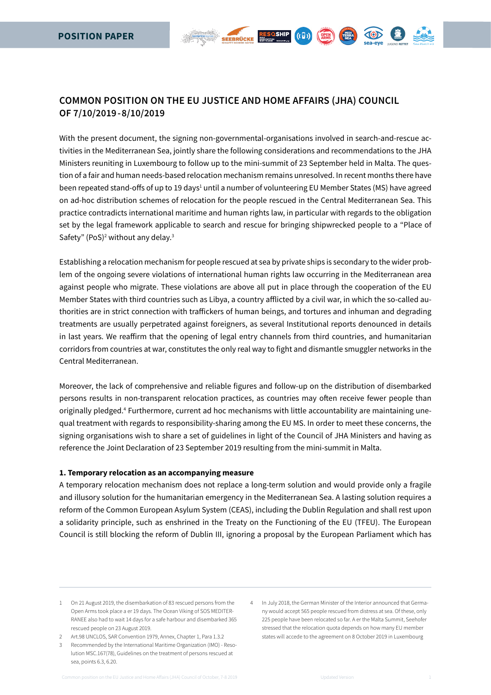# **COMMON POSITION ON THE EU JUSTICE and home affairs (JHA) COUNCIL OF 7/10/2019 - 8/10/2019**

With the present document, the signing non-governmental-organisations involved in search-and-rescue activities in the Mediterranean Sea, jointly share the following considerations and recommendations to the JHA Ministers reuniting in Luxembourg to follow up to the mini-summit of 23 September held in Malta. The question of a fair and human needs-based relocation mechanism remains unresolved. In recent months there have been repeated stand-offs of up to 19 days<sup>1</sup> until a number of volunteering EU Member States (MS) have agreed on ad-hoc distribution schemes of relocation for the people rescued in the Central Mediterranean Sea. This practice contradicts international maritime and human rights law, in particular with regards to the obligation set by the legal framework applicable to search and rescue for bringing shipwrecked people to a "Place of Safety" (PoS)<sup>2</sup> without any delay. $3$ 

RESQSHIP

 $(\mathbf{c} \mathbf{b})$ 

(QPEN)

Establishing a relocation mechanism for people rescued at sea by private ships is secondary to the wider problem of the ongoing severe violations of international human rights law occurring in the Mediterranean area against people who migrate. These violations are above all put in place through the cooperation of the EU Member States with third countries such as Libya, a country afflicted by a civil war, in which the so-called authorities are in strict connection with traffickers of human beings, and tortures and inhuman and degrading treatments are usually perpetrated against foreigners, as several Institutional reports denounced in details in last years. We reaffirm that the opening of legal entry channels from third countries, and humanitarian corridors from countries at war, constitutes the only real way to fight and dismantle smuggler networks in the Central Mediterranean.

Moreover, the lack of comprehensive and reliable figures and follow-up on the distribution of disembarked persons results in non-transparent relocation practices, as countries may often receive fewer people than originally pledged.<sup>4</sup> Furthermore, current ad hoc mechanisms with little accountability are maintaining unequal treatment with regards to responsibility-sharing among the EU MS. In order to meet these concerns, the signing organisations wish to share a set of guidelines in light of the Council of JHA Ministers and having as reference the Joint Declaration of 23 September 2019 resulting from the mini-summit in Malta.

#### **1. Temporary relocation as an accompanying measure**

A temporary relocation mechanism does not replace a long-term solution and would provide only a fragile and illusory solution for the humanitarian emergency in the Mediterranean Sea. A lasting solution requires a reform of the Common European Asylum System (CEAS), including the Dublin Regulation and shall rest upon a solidarity principle, such as enshrined in the Treaty on the Functioning of the EU (TFEU). The European Council is still blocking the reform of Dublin III, ignoring a proposal by the European Parliament which has

2 Art.98 UNCLOS, SAR Convention 1979, Annex, Chapter 1, Para 1.3.2

THERA

<sup>1</sup> On 21 August 2019, the disembarkation of 83 rescued persons from the Open Arms took place a er 19 days. The Ocean Viking of SOS MEDITER-RANEE also had to wait 14 days for a safe harbour and disembarked 365 rescued people on 23 August 2019.

<sup>3</sup> Recommended by the International Maritime Organization (IMO) - Resolution MSC.167(78), Guidelines on the treatment of persons rescued at sea, points 6.3, 6.20.

<sup>4</sup> In July 2018, the German Minister of the Interior announced that Germany would accept 565 people rescued from distress at sea. Of these, only 225 people have been relocated so far. A er the Malta Summit, Seehofer stressed that the relocation quota depends on how many EU member states will accede to the agreement on 8 October 2019 in Luxembourg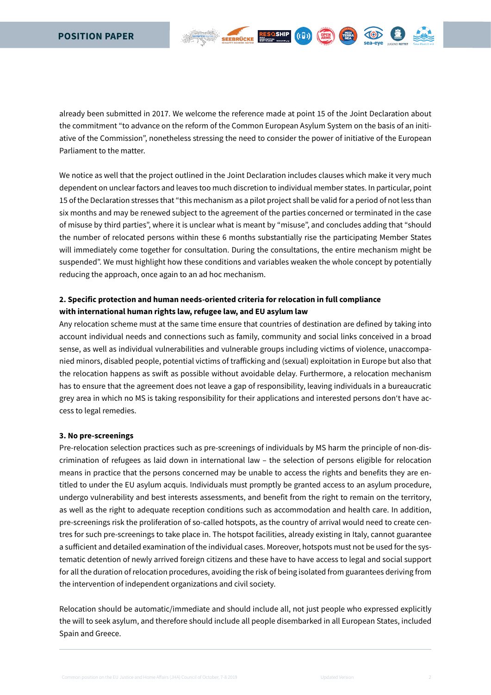already been submitted in 2017. We welcome the reference made at point 15 of the Joint Declaration about the commitment "to advance on the reform of the Common European Asylum System on the basis of an initiative of the Commission", nonetheless stressing the need to consider the power of initiative of the European Parliament to the matter.

RESOSHIP ((D))

1 (回)

 $($  QPEN  $)$ 

We notice as well that the project outlined in the Joint Declaration includes clauses which make it very much dependent on unclear factors and leaves too much discretion to individual member states. In particular, point 15 of the Declaration stresses that "this mechanism as a pilot project shall be valid for a period of not less than six months and may be renewed subject to the agreement of the parties concerned or terminated in the case of misuse by third parties", where it is unclear what is meant by "misuse", and concludes adding that "should the number of relocated persons within these 6 months substantially rise the participating Member States will immediately come together for consultation. During the consultations, the entire mechanism might be suspended". We must highlight how these conditions and variables weaken the whole concept by potentially reducing the approach, once again to an ad hoc mechanism.

# **2. Specific protection and human needs-oriented criteria for relocation in full compliance with international human rights law, refugee law, and EU asylum law**

Any relocation scheme must at the same time ensure that countries of destination are defined by taking into account individual needs and connections such as family, community and social links conceived in a broad sense, as well as individual vulnerabilities and vulnerable groups including victims of violence, unaccompanied minors, disabled people, potential victims of trafficking and (sexual) exploitation in Europe but also that the relocation happens as swift as possible without avoidable delay. Furthermore, a relocation mechanism has to ensure that the agreement does not leave a gap of responsibility, leaving individuals in a bureaucratic grey area in which no MS is taking responsibility for their applications and interested persons don't have access to legal remedies.

# **3. No pre-screenings**

Pre-relocation selection practices such as pre-screenings of individuals by MS harm the principle of non-discrimination of refugees as laid down in international law – the selection of persons eligible for relocation means in practice that the persons concerned may be unable to access the rights and benefits they are entitled to under the EU asylum acquis. Individuals must promptly be granted access to an asylum procedure, undergo vulnerability and best interests assessments, and benefit from the right to remain on the territory, as well as the right to adequate reception conditions such as accommodation and health care. In addition, pre-screenings risk the proliferation of so-called hotspots, as the country of arrival would need to create centres for such pre-screenings to take place in. The hotspot facilities, already existing in Italy, cannot guarantee a sufficient and detailed examination of the individual cases. Moreover, hotspots must not be used for the systematic detention of newly arrived foreign citizens and these have to have access to legal and social support for all the duration of relocation procedures, avoiding the risk of being isolated from guarantees deriving from the intervention of independent organizations and civil society.

Relocation should be automatic/immediate and should include all, not just people who expressed explicitly the will to seek asylum, and therefore should include all people disembarked in all European States, included Spain and Greece.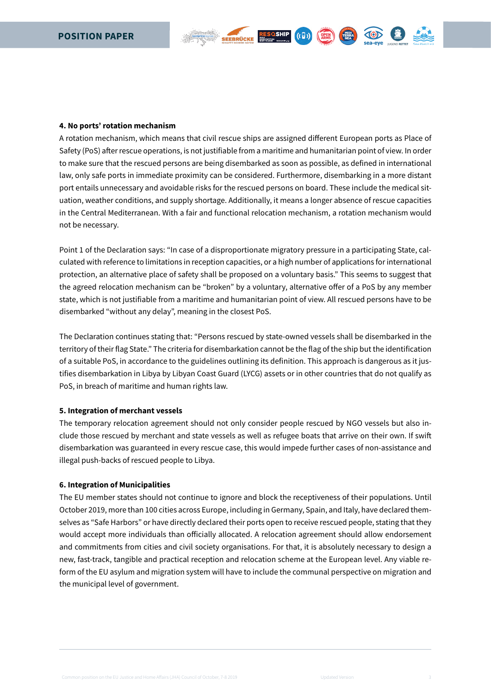

A rotation mechanism, which means that civil rescue ships are assigned different European ports as Place of Safety (PoS) after rescue operations, is not justifiable from a maritime and humanitarian point of view. In order to make sure that the rescued persons are being disembarked as soon as possible, as defined in international law, only safe ports in immediate proximity can be considered. Furthermore, disembarking in a more distant port entails unnecessary and avoidable risks for the rescued persons on board. These include the medical situation, weather conditions, and supply shortage. Additionally, it means a longer absence of rescue capacities in the Central Mediterranean. With a fair and functional relocation mechanism, a rotation mechanism would not be necessary.

RESOSHIP

 $(G \Box)$ 

KOD

Point 1 of the Declaration says: "In case of a disproportionate migratory pressure in a participating State, calculated with reference to limitations in reception capacities, or a high number of applications for international protection, an alternative place of safety shall be proposed on a voluntary basis." This seems to suggest that the agreed relocation mechanism can be "broken" by a voluntary, alternative offer of a PoS by any member state, which is not justifiable from a maritime and humanitarian point of view. All rescued persons have to be disembarked "without any delay", meaning in the closest PoS.

The Declaration continues stating that: "Persons rescued by state-owned vessels shall be disembarked in the territory of their flag State." The criteria for disembarkation cannot be the flag of the ship but the identification of a suitable PoS, in accordance to the guidelines outlining its definition. This approach is dangerous as it justifies disembarkation in Libya by Libyan Coast Guard (LYCG) assets or in other countries that do not qualify as PoS, in breach of maritime and human rights law.

# **5. Integration of merchant vessels**

The temporary relocation agreement should not only consider people rescued by NGO vessels but also include those rescued by merchant and state vessels as well as refugee boats that arrive on their own. If swift disembarkation was guaranteed in every rescue case, this would impede further cases of non-assistance and illegal push-backs of rescued people to Libya.

#### **6. Integration of Municipalities**

The EU member states should not continue to ignore and block the receptiveness of their populations. Until October 2019, more than 100 cities across Europe, including in Germany, Spain, and Italy, have declared themselves as "Safe Harbors" or have directly declared their ports open to receive rescued people, stating that they would accept more individuals than officially allocated. A relocation agreement should allow endorsement and commitments from cities and civil society organisations. For that, it is absolutely necessary to design a new, fast-track, tangible and practical reception and relocation scheme at the European level. Any viable reform of the EU asylum and migration system will have to include the communal perspective on migration and the municipal level of government.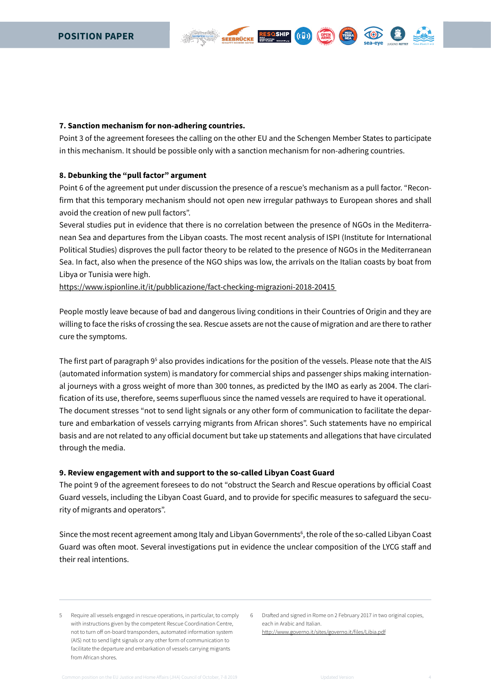#### **7. Sanction mechanism for non-adhering countries.**

Point 3 of the agreement foresees the calling on the other EU and the Schengen Member States to participate in this mechanism. It should be possible only with a sanction mechanism for non-adhering countries.

 $(\mathbf{t} \mathbf{F})$ 

# **8. Debunking the "pull factor" argument**

Point 6 of the agreement put under discussion the presence of a rescue's mechanism as a pull factor. "Reconfirm that this temporary mechanism should not open new irregular pathways to European shores and shall avoid the creation of new pull factors".

Several studies put in evidence that there is no correlation between the presence of NGOs in the Mediterranean Sea and departures from the Libyan coasts. The most recent analysis of ISPI (Institute for International Political Studies) disproves the pull factor theory to be related to the presence of NGOs in the Mediterranean Sea. In fact, also when the presence of the NGO ships was low, the arrivals on the Italian coasts by boat from Libya or Tunisia were high.

[https://www.ispionline.it/it/pubblicazione/fact-checking-migrazioni-2018-20415](https://www.ispionline.it/it/pubblicazione/fact-checking-migrazioni-2018-20415%20%20) 

People mostly leave because of bad and dangerous living conditions in their Countries of Origin and they are willing to face the risks of crossing the sea. Rescue assets are not the cause of migration and are there to rather cure the symptoms.

The first part of paragraph 9<sup>5</sup> also provides indications for the position of the vessels. Please note that the AIS (automated information system) is mandatory for commercial ships and passenger ships making international journeys with a gross weight of more than 300 tonnes, as predicted by the IMO as early as 2004. The clarification of its use, therefore, seems superfluous since the named vessels are required to have it operational. The document stresses "not to send light signals or any other form of communication to facilitate the departure and embarkation of vessels carrying migrants from African shores". Such statements have no empirical basis and are not related to any official document but take up statements and allegations that have circulated through the media.

#### **9. Review engagement with and support to the so-called Libyan Coast Guard**

The point 9 of the agreement foresees to do not "obstruct the Search and Rescue operations by official Coast Guard vessels, including the Libyan Coast Guard, and to provide for specific measures to safeguard the security of migrants and operators".

Since the most recent agreement among Italy and Libyan Governments<sup>6</sup>, the role of the so-called Libyan Coast Guard was often moot. Several investigations put in evidence the unclear composition of the LYCG staff and their real intentions.

5 Require all vessels engaged in rescue operations, in particular, to comply with instructions given by the competent Rescue Coordination Centre, not to turn off on-board transponders, automated information system (AIS) not to send light signals or any other form of communication to facilitate the departure and embarkation of vessels carrying migrants from African shores.

6 Drafted and signed in Rome on 2 February 2017 in two original copies, each in Arabic and Italian. <http://www.governo.it/sites/governo.it/files/Libia.pdf>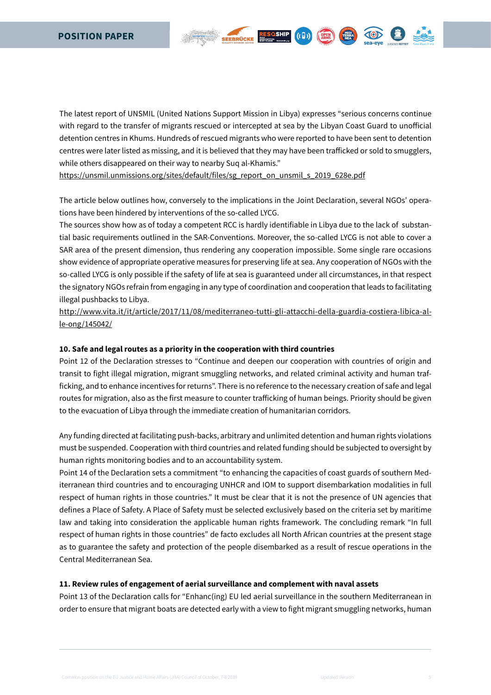The latest report of UNSMIL (United Nations Support Mission in Libya) expresses "serious concerns continue with regard to the transfer of migrants rescued or intercepted at sea by the Libyan Coast Guard to unofficial detention centres in Khums. Hundreds of rescued migrants who were reported to have been sent to detention centres were later listed as missing, and it is believed that they may have been trafficked or sold to smugglers, while others disappeared on their way to nearby Suq al-Khamis."

RESOSHIP ((D)

 $(\Omega_{RMS}^{PEN})$ 

[https://unsmil.unmissions.org/sites/default/files/sg\\_report\\_on\\_unsmil\\_s\\_2019\\_628e.pdf](https://unsmil.unmissions.org/sites/default/files/sg_report_on_unsmil_s_2019_628e.pdf)

The article below outlines how, conversely to the implications in the Joint Declaration, several NGOs' operations have been hindered by interventions of the so-called LYCG.

The sources show how as of today a competent RCC is hardly identifiable in Libya due to the lack of substantial basic requirements outlined in the SAR-Conventions. Moreover, the so-called LYCG is not able to cover a SAR area of the present dimension, thus rendering any cooperation impossible. Some single rare occasions show evidence of appropriate operative measures for preserving life at sea. Any cooperation of NGOs with the so-called LYCG is only possible if the safety of life at sea is guaranteed under all circumstances, in that respect the signatory NGOs refrain from engaging in any type of coordination and cooperation that leads to facilitating illegal pushbacks to Libya.

[http://www.vita.it/it/article/2017/11/08/mediterraneo-tutti-gli-attacchi-della-guardia-costiera-libica-al](http://www.vita.it/it/article/2017/11/08/mediterraneo-tutti-gli-attacchi-della-guardia-costiera-libica-alle-ong/145042/)[le-ong/145042/](http://www.vita.it/it/article/2017/11/08/mediterraneo-tutti-gli-attacchi-della-guardia-costiera-libica-alle-ong/145042/)

# **10. Safe and legal routes as a priority in the cooperation with third countries**

Point 12 of the Declaration stresses to "Continue and deepen our cooperation with countries of origin and transit to fight illegal migration, migrant smuggling networks, and related criminal activity and human trafficking, and to enhance incentives for returns". There is no reference to the necessary creation of safe and legal routes for migration, also as the first measure to counter trafficking of human beings. Priority should be given to the evacuation of Libya through the immediate creation of humanitarian corridors.

Any funding directed at facilitating push-backs, arbitrary and unlimited detention and human rights violations must be suspended. Cooperation with third countries and related funding should be subjected to oversight by human rights monitoring bodies and to an accountability system.

Point 14 of the Declaration sets a commitment "to enhancing the capacities of coast guards of southern Mediterranean third countries and to encouraging UNHCR and IOM to support disembarkation modalities in full respect of human rights in those countries." It must be clear that it is not the presence of UN agencies that defines a Place of Safety. A Place of Safety must be selected exclusively based on the criteria set by maritime law and taking into consideration the applicable human rights framework. The concluding remark "In full respect of human rights in those countries" de facto excludes all North African countries at the present stage as to guarantee the safety and protection of the people disembarked as a result of rescue operations in the Central Mediterranean Sea.

#### **11. Review rules of engagement of aerial surveillance and complement with naval assets**

Point 13 of the Declaration calls for "Enhanc(ing) EU led aerial surveillance in the southern Mediterranean in order to ensure that migrant boats are detected early with a view to fight migrant smuggling networks, human